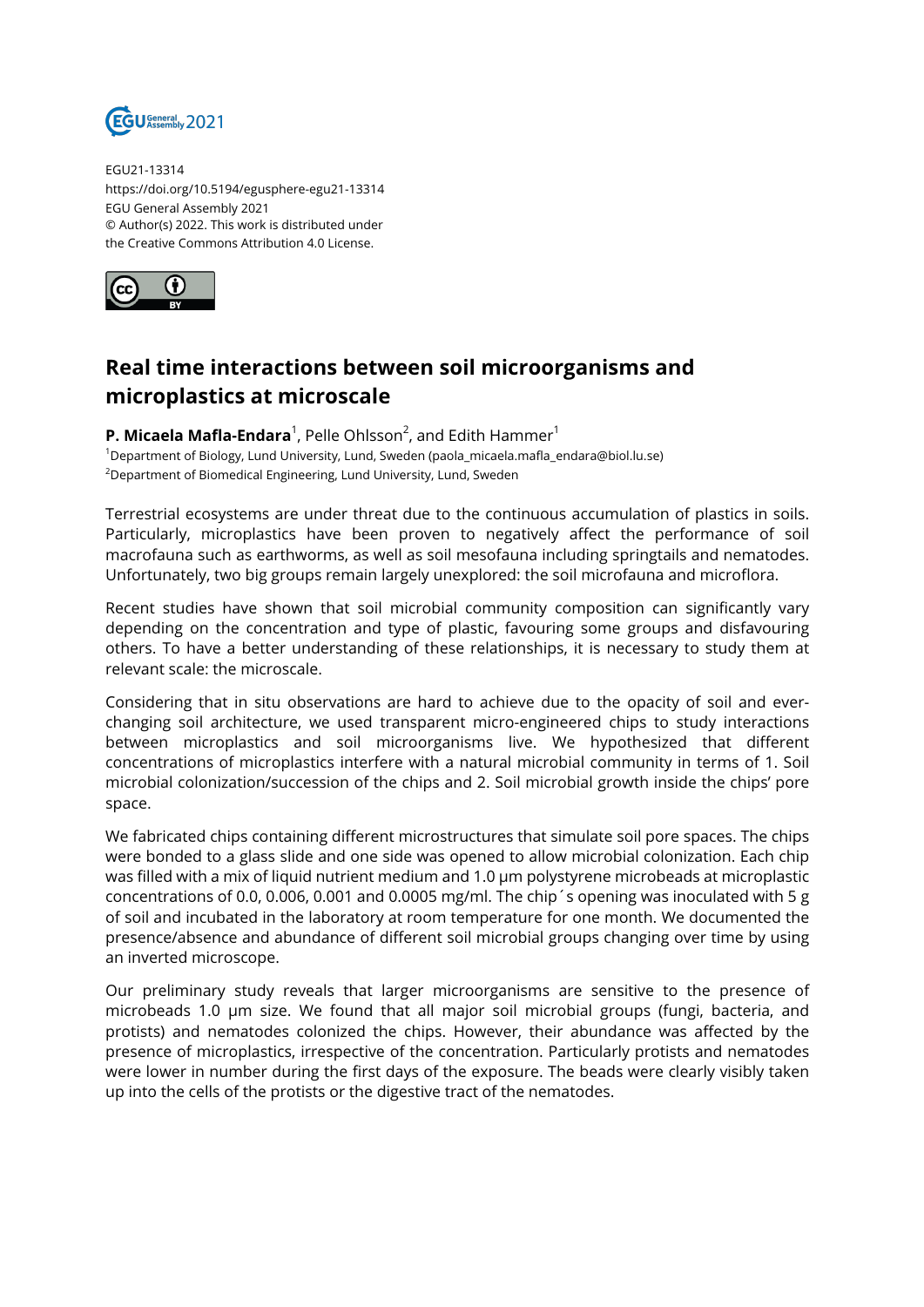

EGU21-13314 https://doi.org/10.5194/egusphere-egu21-13314 EGU General Assembly 2021 © Author(s) 2022. This work is distributed under the Creative Commons Attribution 4.0 License.



## **Real time interactions between soil microorganisms and microplastics at microscale**

**P. Micaela Mafla-Endara** $^1$ , Pelle Ohlsson $^2$ , and Edith Hammer $^1$ <sup>1</sup>Department of Biology, Lund University, Lund, Sweden (paola micaela.mafla endara@biol.lu.se) <sup>2</sup>Department of Biomedical Engineering, Lund University, Lund, Sweden

Terrestrial ecosystems are under threat due to the continuous accumulation of plastics in soils. Particularly, microplastics have been proven to negatively affect the performance of soil macrofauna such as earthworms, as well as soil mesofauna including springtails and nematodes. Unfortunately, two big groups remain largely unexplored: the soil microfauna and microflora.

Recent studies have shown that soil microbial community composition can significantly vary depending on the concentration and type of plastic, favouring some groups and disfavouring others. To have a better understanding of these relationships, it is necessary to study them at relevant scale: the microscale.

Considering that in situ observations are hard to achieve due to the opacity of soil and everchanging soil architecture, we used transparent micro-engineered chips to study interactions between microplastics and soil microorganisms live. We hypothesized that different concentrations of microplastics interfere with a natural microbial community in terms of 1. Soil microbial colonization/succession of the chips and 2. Soil microbial growth inside the chips' pore space.

We fabricated chips containing different microstructures that simulate soil pore spaces. The chips were bonded to a glass slide and one side was opened to allow microbial colonization. Each chip was filled with a mix of liquid nutrient medium and 1.0 µm polystyrene microbeads at microplastic concentrations of 0.0, 0.006, 0.001 and 0.0005 mg/ml. The chip´s opening was inoculated with 5 g of soil and incubated in the laboratory at room temperature for one month. We documented the presence/absence and abundance of different soil microbial groups changing over time by using an inverted microscope.

Our preliminary study reveals that larger microorganisms are sensitive to the presence of microbeads 1.0 µm size. We found that all major soil microbial groups (fungi, bacteria, and protists) and nematodes colonized the chips. However, their abundance was affected by the presence of microplastics, irrespective of the concentration. Particularly protists and nematodes were lower in number during the first days of the exposure. The beads were clearly visibly taken up into the cells of the protists or the digestive tract of the nematodes.